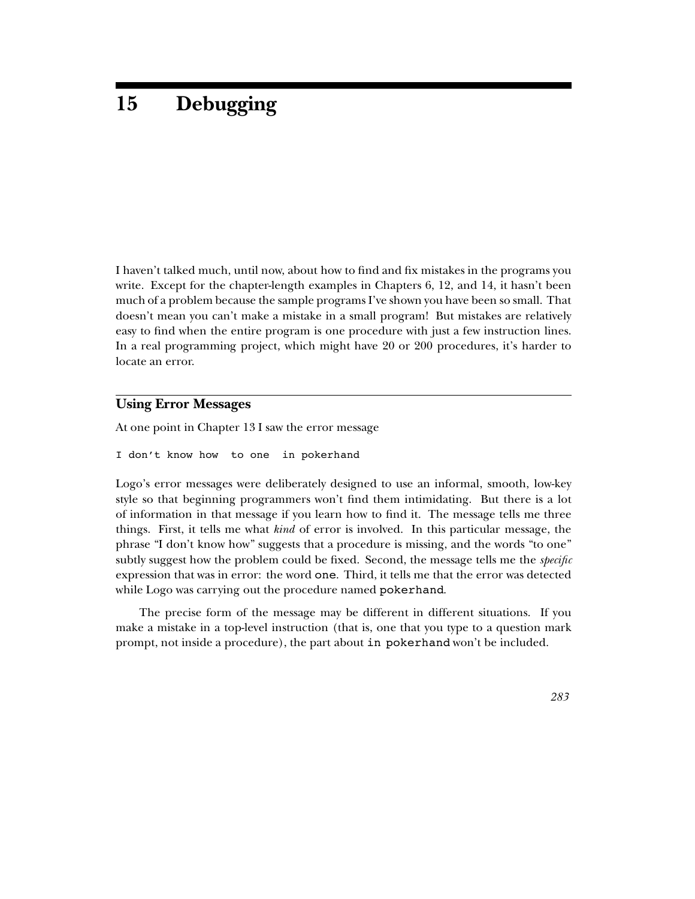# **15 Debugging**

I haven't talked much, until now, about how to find and fix mistakes in the programs you write. Except for the chapter-length examples in Chapters 6, 12, and 14, it hasn't been much of a problem because the sample programs I've shown you have been so small. That doesn't mean you can't make a mistake in a small program! But mistakes are relatively easy to find when the entire program is one procedure with just a few instruction lines. In a real programming project, which might have 20 or 200 procedures, it's harder to locate an error.

### **Using Error Messages**

At one point in Chapter 13 I saw the error message

I don't know how to one in pokerhand

things. First, it tells me what *kind* of error is involved. In this particular message, the subtly suggest how the problem could be fixed. Second, the message tells me the *specific* expression that was in error: the word **one**. Third, it tells me that the error was detected while Logo was carrying out the procedure named <code>pokerhand</code>. Logo's error messages were deliberately designed to use an informal, smooth, low-key style so that beginning programmers won't find them intimidating. But there is a lot of information in that message if you learn how to find it. The message tells me three phrase "I don't know how" suggests that a procedure is missing, and the words "to one"

prompt, not inside a procedure), the part about in pokerhand won't be included. The precise form of the message may be different in different situations. If you make a mistake in a top-level instruction (that is, one that you type to a question mark

*283*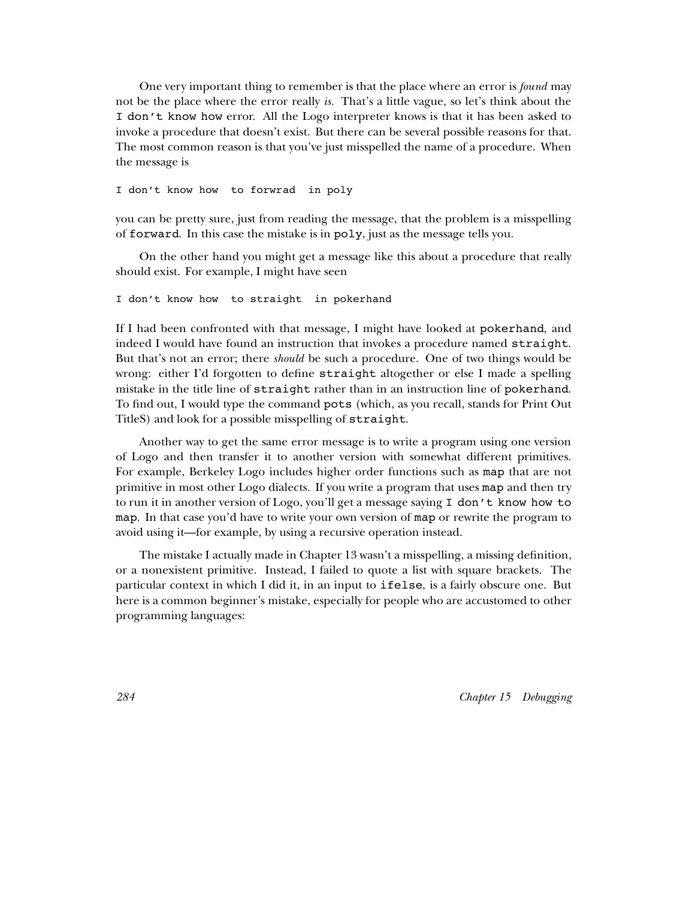One very important thing to remember is that the place where an error is *found* may not be the place where the error really *is*. That's a little vague, so let's think about the I don't know how error. All the Logo interpreter knows is that it has been asked to invoke a procedure that doesn't exist. But there can be several possible reasons for that. The most common reason is that you've just misspelled the name of a procedure. When the message is

I don't know how to forwrad in poly

of forward. In this case the mistake is in poly, just as the message tells you. you can be pretty sure, just from reading the message, that the problem is a misspelling

On the other hand you might get a message like this about a procedure that really should exist. For example, I might have seen

#### I don't know how to straight in pokerhand

But that's not an error; there *should* be such a procedure. One of two things would be If I had been confronted with that message, I might have looked at pokerhand, and indeed I would have found an instruction that invokes a procedure named  $\texttt{straight}.$ wrong: either I'd forgotten to define straight altogether or else I made a spelling mistake in the title line of straight rather than in an instruction line of pokerhand. To find out, I would type the command  ${\tt pots}$  (which, as you recall, stands for Print Out TitleS) and look for a possible misspelling of straight.

For example, Berkeley Logo includes higher order functions such as map that are not primitive in most other Logo dialects. If you write a program that uses map and then try to run it in another version of Logo, you'll get a message saying I don't know how to map. In that case you'd have to write your own version of map or rewrite the program to Another way to get the same error message is to write a program using one version of Logo and then transfer it to another version with somewhat different primitives. avoid using it—for example, by using a recursive operation instead.

particular context in which I did it, in an input to **ifelse**, is a fairly obscure one. But The mistake I actually made in Chapter 13 wasn't a misspelling, a missing definition, or a nonexistent primitive. Instead, I failed to quote a list with square brackets. The here is a common beginner's mistake, especially for people who are accustomed to other programming languages: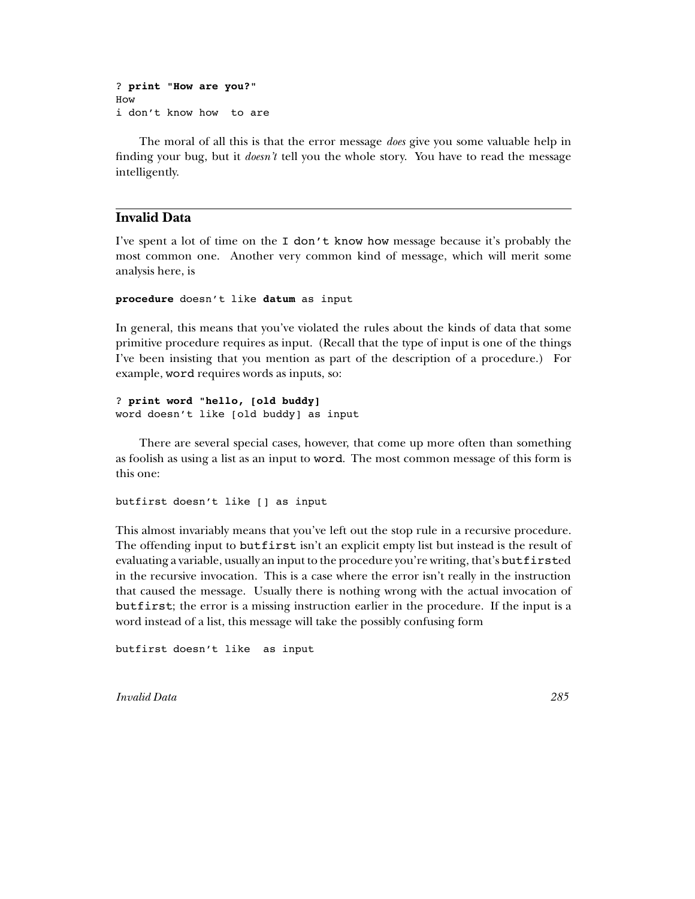```
print "How are you?"
?
How
i don't know how to are
```
The moral of all this is that the error message *does* give you some valuable help in finding your bug, but it *doesn't* tell you the whole story. You have to read the message intelligently.

## **Invalid Data**

I've spent a lot of time on the I don't know how message because it's probably the most common one. Another very common kind of message, which will merit some analysis here, is

```
procedure doesn't like datum as input
```
example, word requires words as inputs, so: In general, this means that you've violated the rules about the kinds of data that some primitive procedure requires as input. (Recall that the type of input is one of the things I've been insisting that you mention as part of the description of a procedure.) For

**print word "hello, [old buddy]** ? word doesn't like [old buddy] as input

as foolish as using a list as an input to **word**. The most common message of this form is There are several special cases, however, that come up more often than something this one:

```
butfirst doesn't like [] as input
```
The offending input to butfirst isn't an explicit empty list but instead is the result of evaluating a variable, usually an input to the procedure you're writing, that's  $\texttt{buffer}$ ted butfirst ; the error is a missing instruction earlier in the procedure. If the input is a This almost invariably means that you've left out the stop rule in a recursive procedure. in the recursive invocation. This is a case where the error isn't really in the instruction that caused the message. Usually there is nothing wrong with the actual invocation of word instead of a list, this message will take the possibly confusing form

butfirst doesn't like as input

*Invalid Data 285*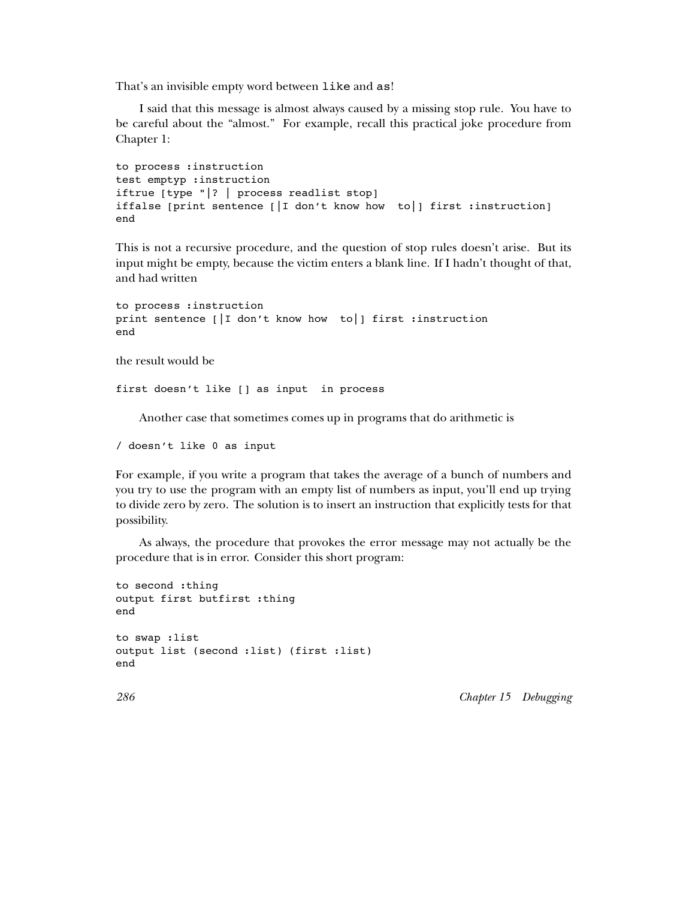That's an invisible empty word between like and as!

I said that this message is almost always caused by a missing stop rule. You have to be careful about the "almost." For example, recall this practical joke procedure from Chapter 1:

```
to process :instruction
test emptyp :instruction
iftrue [type "|? | process readlist stop]
iffalse [print sentence [|I don't know how to|] first :instruction]
end
```
This is not a recursive procedure, and the question of stop rules doesn't arise. But its input might be empty, because the victim enters a blank line. If I hadn't thought of that, and had written

```
to process :instruction
print sentence [|I don't know how to|] first :instruction
end
```
the result would be

first doesn't like [] as input in process

Another case that sometimes comes up in programs that do arithmetic is

/ doesn't like 0 as input

For example, if you write a program that takes the average of a bunch of numbers and you try to use the program with an empty list of numbers as input, you'll end up trying to divide zero by zero. The solution is to insert an instruction that explicitly tests for that possibility.

As always, the procedure that provokes the error message may not actually be the procedure that is in error. Consider this short program:

```
to second :thing
output first butfirst :thing
end
to swap :list
output list (second :list) (first :list)
end
```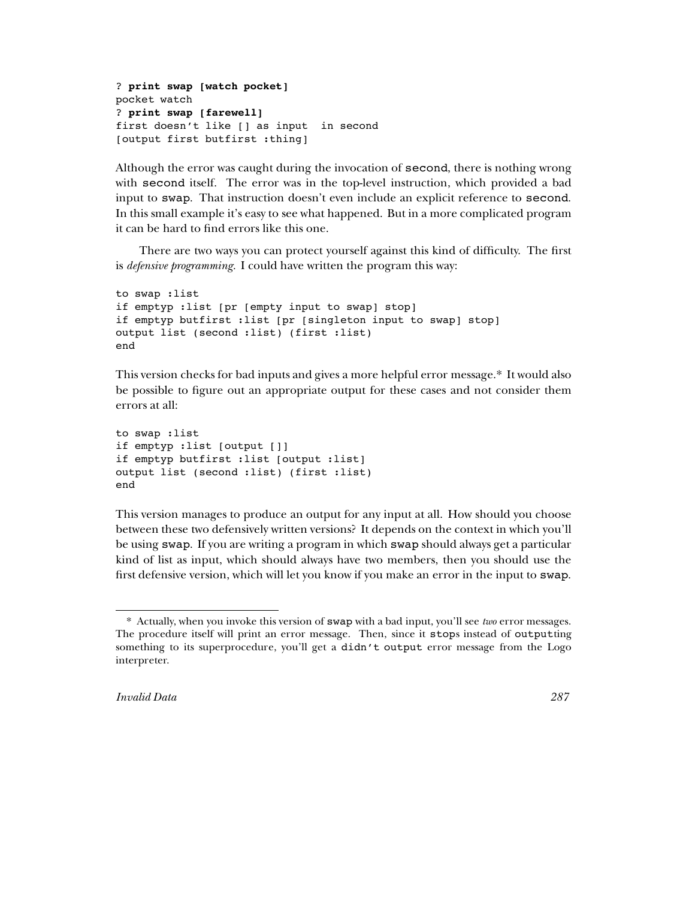```
print swap [watch pocket]
?
print swap [farewell]
?
pocket watch
first doesn't like [] as input in second
[output first butfirst :thing]
```
Although the error was caught during the invocation of  $\mathsf{second}$ , there is nothing wrong with second itself. The error was in the top-level instruction, which provided a bad input to swap. That instruction doesn't even include an explicit reference to second. In this small example it's easy to see what happened. But in a more complicated program it can be hard to find errors like this one.

is *defensive programming*. I could have written the program this way: There are two ways you can protect yourself against this kind of difficulty. The first

```
to swap :list
if emptyp :list [pr [empty input to swap] stop]
if emptyp butfirst :list [pr [singleton input to swap] stop]
output list (second :list) (first :list)
end
```
This version checks for bad inputs and gives a more helpful error message.\* It would also be possible to figure out an appropriate output for these cases and not consider them errors at all:

```
to swap :list
if emptyp :list [output []]
if emptyp butfirst :list [output :list]
output list (second :list) (first :list)
end
```
be using  $\mathbf s$ wap. If you are writing a program in which  $\mathbf s$ wap should always get a particular first defensive version, which will let you know if you make an error in the input to  $\operatorname{\mathsf{swap}}$ . This version manages to produce an output for any input at all. How should you choose between these two defensively written versions? It depends on the context in which you'll kind of list as input, which should always have two members, then you should use the

```
Invalid Data 287
```
<sup>\*</sup> Actually, when you invoke this version of swap with a bad input, you'll see two error messages. The procedure itself will print an error message. Then, since it stops instead of outputting something to its superprocedure, you'll get a didn't output error message from the Logo interpreter.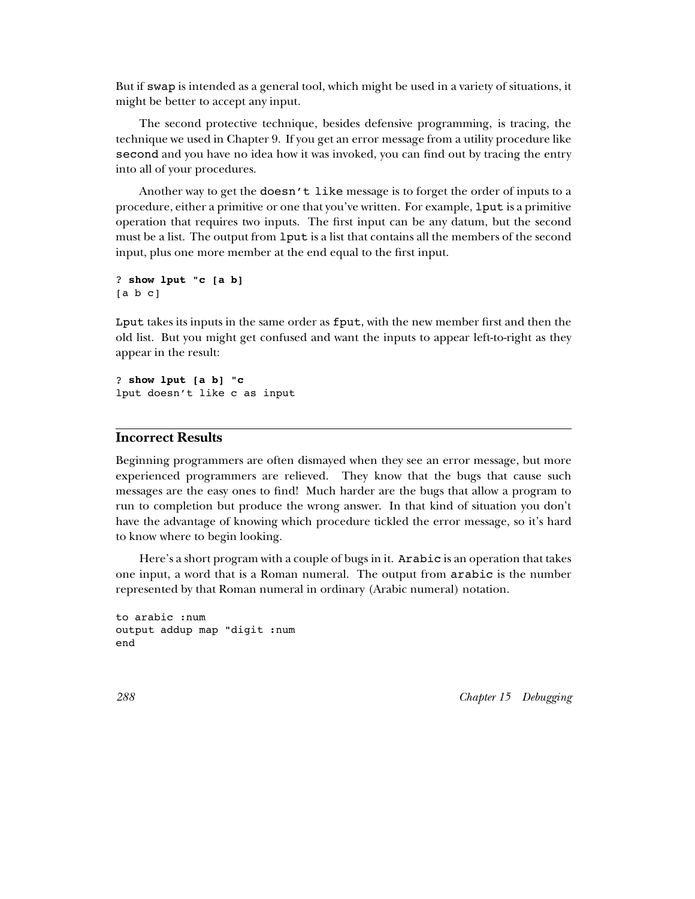But if  ${\tt swap}$  is intended as a general tool, which might be used in a variety of situations, it might be better to accept any input.

second and you have no idea how it was invoked, you can find out by tracing the entry The second protective technique, besides defensive programming, is tracing, the technique we used in Chapter 9. If you get an error message from a utility procedure like into all of your procedures.

Another way to get the **doesn't like** message is to forget the order of inputs to a procedure, either a primitive or one that you've written. For example,  $1$ put is a primitive must be a list. The output from  $1$ pu $\sf{t}$  is a list that contains all the members of the second operation that requires two inputs. The first input can be any datum, but the second input, plus one more member at the end equal to the first input.

```
show lput "c [a b]
?
[a b c]
```
Lput takes its inputs in the same order as  $\tt fput$  , with the new member first and then the old list. But you might get confused and want the inputs to appear left-to-right as they appear in the result:

**show lput [a b] "c** ? lput doesn't like c as input

# **Incorrect Results**

Beginning programmers are often dismayed when they see an error message, but more experienced programmers are relieved. They know that the bugs that cause such messages are the easy ones to find! Much harder are the bugs that allow a program to run to completion but produce the wrong answer. In that kind of situation you don't have the advantage of knowing which procedure tickled the error message, so it's hard to know where to begin looking.

Here's a short program with a couple of bugs in it. Arabic is an operation that takes one input, a word that is a Roman numeral. The output from arabic is the number represented by that Roman numeral in ordinary (Arabic numeral) notation.

to arabic :num output addup map "digit :num end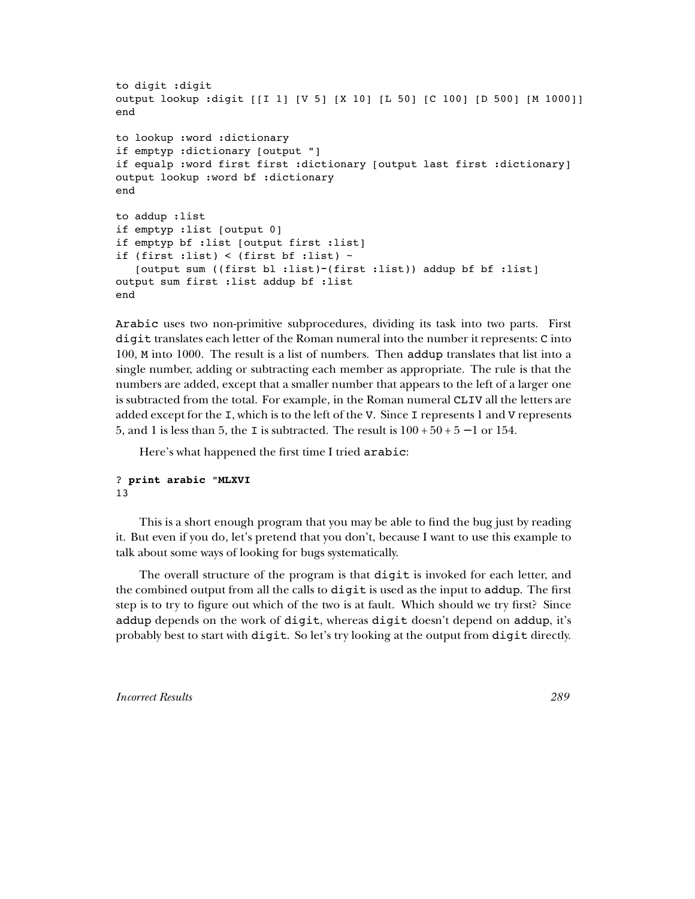```
to digit :digit
output lookup :digit [[I 1] [V 5] [X 10] [L 50] [C 100] [D 500] [M 1000]]
end
to lookup :word :dictionary
if emptyp :dictionary [output "]
if equalp :word first first :dictionary [output last first :dictionary]
output lookup :word bf :dictionary
end
to addup :list
if emptyp :list [output 0]
if emptyp bf :list [output first :list]
if (first :list) < (first bf :list) ~
   [output sum ((first bl :list)-(first :list)) addup bf bf :list]
output sum first :list addup bf :list
end
```
5, and 1 is less than 5, the I is subtracted. The result is  $100 + 50 + 5 - 1$  or 154. Arabic uses two non-primitive subprocedures, dividing its task into two parts. First digit translates each letter of the Roman numeral into the number it represents: C into 100, M into 1000. The result is a list of numbers. Then addup translates that list into a is subtracted from the total. For example, in the Roman numeral  $\tt CLIV$  all the letters are added except for the I, which is to the left of the V. Since I represents  $1$  and V represents single number, adding or subtracting each member as appropriate. The rule is that the numbers are added, except that a smaller number that appears to the left of a larger one

Here's what happened the first time I tried arabic:

#### **print arabic "MLXVI** ? 13

This is a short enough program that you may be able to find the bug just by reading it. But even if you do, let's pretend that you don't, because I want to use this example to talk about some ways of looking for bugs systematically.

The overall structure of the program is that digit is invoked for each letter, and the combined output from all the calls to  $\text{digit}$  is used as the input to addup. The first addup depends on the work of digit, whereas digit doesn't depend on addup, it's probably best to start with digit. So let's try looking at the output from digit directly. step is to try to figure out which of the two is at fault. Which should we try first? Since

*Incorrect Results 289*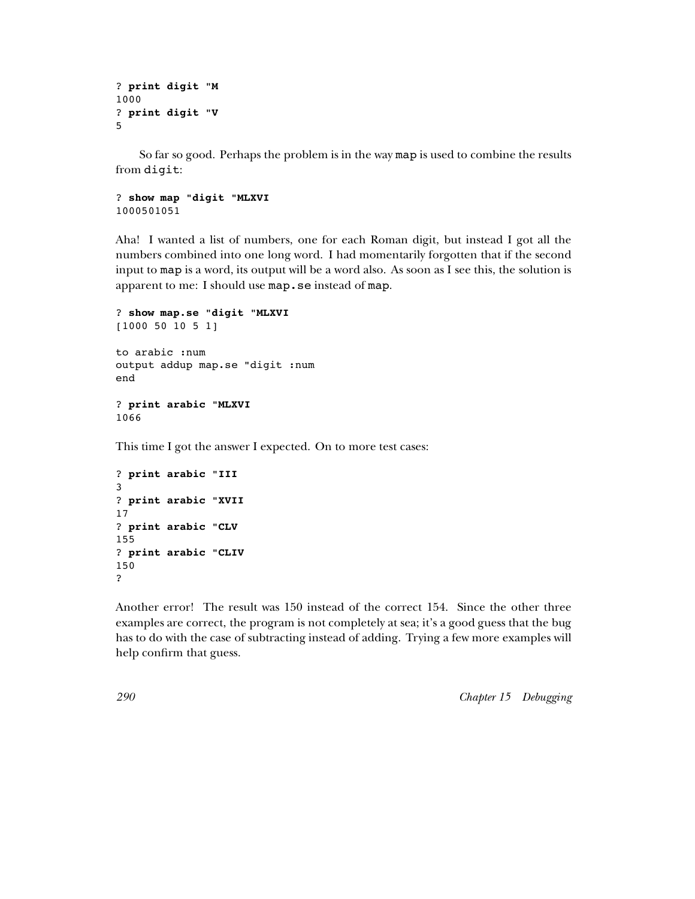```
?
print digit "M
1000
?
print digit "V
5
```
So far so good. Perhaps the problem is in the way map is used to combine the results from digit:

? **show map "digit "MLXVI** 1000501051

input to map is a word, its output will be a word also. As soon as I see this, the solution is apparent to me: I should use  $map$ . se instead of map. Aha! I wanted a list of numbers, one for each Roman digit, but instead I got all the numbers combined into one long word. I had momentarily forgotten that if the second

```
?
show map.se "digit "MLXVI
[1000 50 10 5 1]
to arabic :num
output addup map.se "digit :num
end
?
print arabic "MLXVI
1066
```
This time I got the answer I expected. On to more test cases:

```
?
print arabic "III
3
?
print arabic "XVII
17
?
print arabic "CLV
155
?
print arabic "CLIV
150
?
```
Another error! The result was 150 instead of the correct 154. Since the other three examples are correct, the program is not completely at sea; it's a good guess that the bug has to do with the case of subtracting instead of adding. Trying a few more examples will help confirm that guess.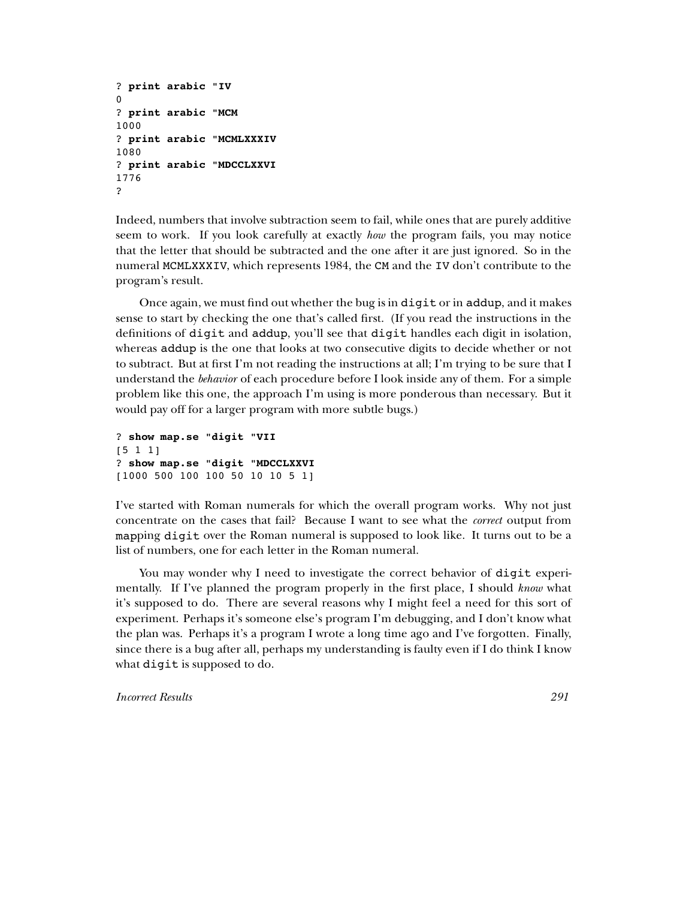```
?
print arabic "IV
\Omega?
print arabic "MCM
1000
?
print arabic "MCMLXXXIV
1080
?
print arabic "MDCCLXXVI
1776
?
```
seem to work. If you look carefully at exactly *how* the program fails, you may notice numeral MCMLXXXIV, which represents 1984, the CM and the IV don't contribute to the Indeed, numbers that involve subtraction seem to fail, while ones that are purely additive that the letter that should be subtracted and the one after it are just ignored. So in the program's result.

understand the *behavior* of each procedure before I look inside any of them. For a simple Once again, we must find out whether the bug is in digit or in addup, and it makes definitions of digit and addup, you'll see that digit handles each digit in isolation, whereas addup is the one that looks at two consecutive digits to decide whether or not sense to start by checking the one that's called first. (If you read the instructions in the to subtract. But at first I'm not reading the instructions at all; I'm trying to be sure that I problem like this one, the approach I'm using is more ponderous than necessary. But it would pay off for a larger program with more subtle bugs.)

```
?
show map.se "digit "VII
[5 1 1]
?
show map.se "digit "MDCCLXXVI
[1000 500 100 100 50 10 10 5 1]
```
concentrate on the cases that fail? Because I want to see what the *correct* output from mapping digit over the Roman numeral is supposed to look like. It turns out to be a I've started with Roman numerals for which the overall program works. Why not just list of numbers, one for each letter in the Roman numeral.

mentally. If I've planned the program properly in the first place, I should *know* what You may wonder why I need to investigate the correct behavior of digit experiwhat digit is supposed to do. it's supposed to do. There are several reasons why I might feel a need for this sort of experiment. Perhaps it's someone else's program I'm debugging, and I don't know what the plan was. Perhaps it's a program I wrote a long time ago and I've forgotten. Finally, since there is a bug after all, perhaps my understanding is faulty even if I do think I know

*Incorrect Results 291*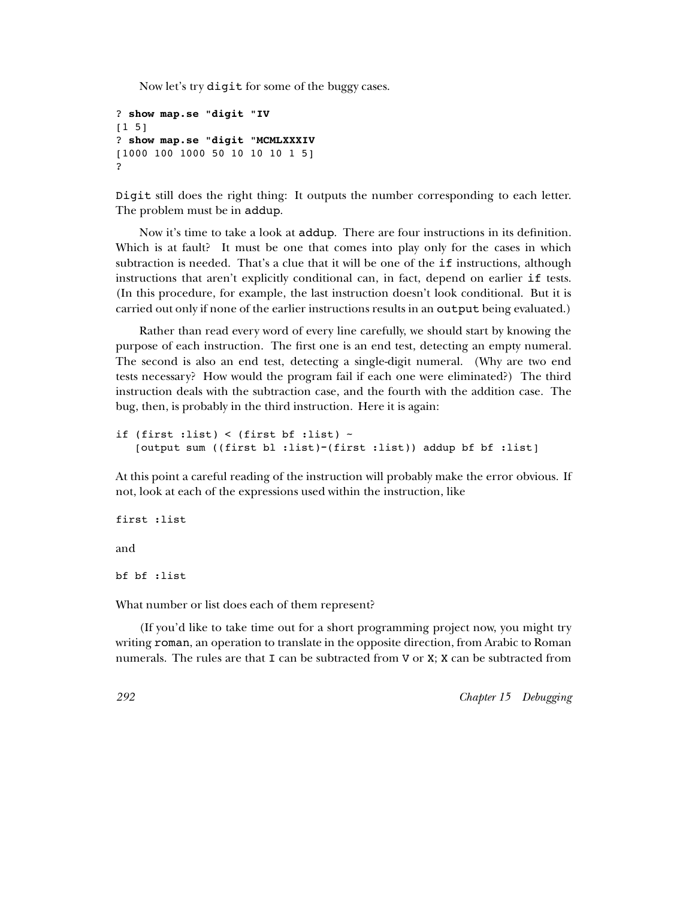Now let's try digit for some of the buggy cases.

```
show map.se "digit "IV
?
show map.se "digit "MCMLXXXIV
?
[1 5]
[1000 100 1000 50 10 10 10 1 5]
?
```
Digit still does the right thing: It outputs the number corresponding to each letter. The problem must be in addup.

Now it's time to take a look at addup. There are four instructions in its definition. subtraction is needed. That's a clue that it will be one of the  $\mathtt{if}$  instructions, although instructions that aren't explicitly conditional can, in fact, depend on earlier if tests. carried out only if none of the earlier instructions results in an  $output$  being evaluated.) Which is at fault? It must be one that comes into play only for the cases in which (In this procedure, for example, the last instruction doesn't look conditional. But it is

Rather than read every word of every line carefully, we should start by knowing the purpose of each instruction. The first one is an end test, detecting an empty numeral. The second is also an end test, detecting a single-digit numeral. (Why are two end tests necessary? How would the program fail if each one were eliminated?) The third instruction deals with the subtraction case, and the fourth with the addition case. The bug, then, is probably in the third instruction. Here it is again:

```
if (first :list) < (first bf :list) ~
  [output sum ((first bl :list)-(first :list)) addup bf bf :list]
```
At this point a careful reading of the instruction will probably make the error obvious. If not, look at each of the expressions used within the instruction, like

```
first :list
bf bf :list
and
```
What number or list does each of them represent?

writing **roman**, an operation to translate in the opposite direction, from Arabic to Roman numerals. The rules are that I can be subtracted from V or X; X can be subtracted from (If you'd like to take time out for a short programming project now, you might try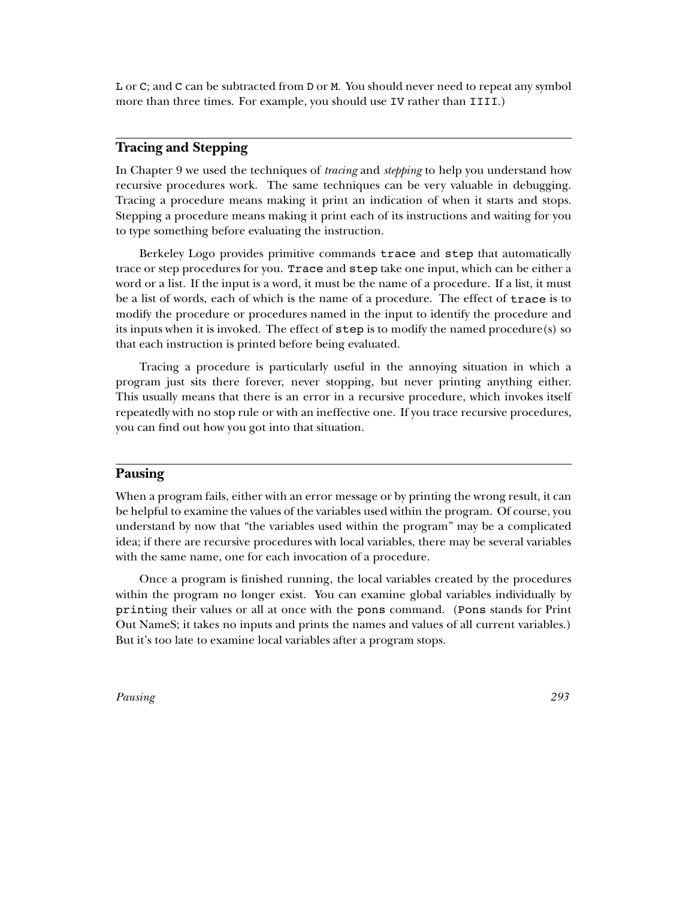$\tt L$  or C; and C can be subtracted from D or M. You should never need to repeat any symbol more than three times. For example, you should use IV rather than IIII.)

## **Tracing and Stepping**

In Chapter 9 we used the techniques of *tracing* and *stepping* to help you understand how recursive procedures work. The same techniques can be very valuable in debugging. Tracing a procedure means making it print an indication of when it starts and stops. Stepping a procedure means making it print each of its instructions and waiting for you to type something before evaluating the instruction.

Berkeley Logo provides primitive commands trace and step that automatically trace or step procedures for you. Trace and step take one input, which can be either a be a list of words, each of which is the name of a procedure. The effect of trace is to its inputs when it is invoked. The effect of  $\mathtt{step}$  is to modify the named procedure(s) so word or a list. If the input is a word, it must be the name of a procedure. If a list, it must modify the procedure or procedures named in the input to identify the procedure and that each instruction is printed before being evaluated.

Tracing a procedure is particularly useful in the annoying situation in which a program just sits there forever, never stopping, but never printing anything either. This usually means that there is an error in a recursive procedure, which invokes itself repeatedly with no stop rule or with an ineffective one. If you trace recursive procedures, you can find out how you got into that situation.

## **Pausing**

When a program fails, either with an error message or by printing the wrong result, it can be helpful to examine the values of the variables used within the program. Of course, you understand by now that "the variables used within the program" may be a complicated idea; if there are recursive procedures with local variables, there may be several variables with the same name, one for each invocation of a procedure.

printing their values or all at once with the pons command. (Pons stands for Print Once a program is finished running, the local variables created by the procedures within the program no longer exist. You can examine global variables individually by Out NameS; it takes no inputs and prints the names and values of all current variables.) But it's too late to examine local variables after a program stops.

*Pausing 293*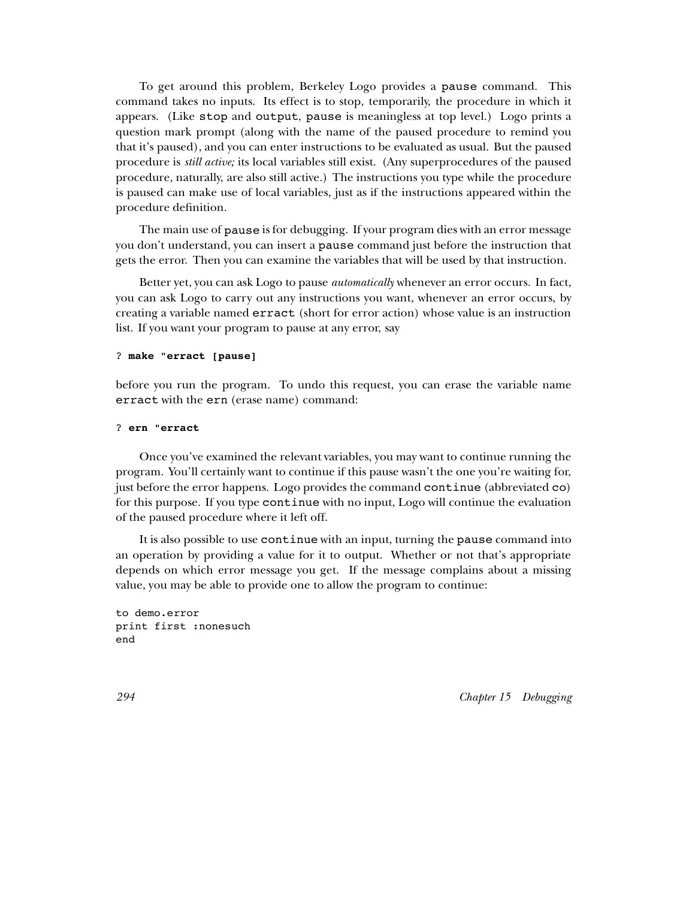procedure is *still active;* its local variables still exist. (Any superprocedures of the paused To get around this problem, Berkeley Logo provides a pause command. This appears. (Like  $\mathsf{stop}$  and  $\mathsf{output},$   $\mathsf{pause}$  is meaningless at top level.) Logo prints a command takes no inputs. Its effect is to stop, temporarily, the procedure in which it question mark prompt (along with the name of the paused procedure to remind you that it's paused), and you can enter instructions to be evaluated as usual. But the paused procedure, naturally, are also still active.) The instructions you type while the procedure is paused can make use of local variables, just as if the instructions appeared within the procedure definition.

The main use of  ${\tt pause}$  is for debugging. If your program dies with an error message you don't understand, you can insert a <code>pause</code> command just before the instruction that gets the error. Then you can examine the variables that will be used by that instruction.

Better yet, you can ask Logo to pause *automatically* whenever an error occurs. In fact, creating a variable named  $error (short for error action)$  whose value is an instruction you can ask Logo to carry out any instructions you want, whenever an error occurs, by list. If you want your program to pause at any error, say

#### **make "erract [pause]** ?

erract with the ern (erase name) command: before you run the program. To undo this request, you can erase the variable name

#### **ern "erract** ?

just before the error happens. Logo provides the command  $\texttt{continue}$  (abbreviated  $\texttt{co}$ ) for this purpose. If you type  ${\tt continue}$  with no input, Logo will continue the evaluation Once you've examined the relevant variables, you may want to continue running the program. You'll certainly want to continue if this pause wasn't the one you're waiting for, of the paused procedure where it left off.

It is also possible to use  $\verb|continue|$  with an input, turning the  $\verb|pause|$  command into an operation by providing a value for it to output. Whether or not that's appropriate depends on which error message you get. If the message complains about a missing value, you may be able to provide one to allow the program to continue:

to demo.error print first :nonesuch end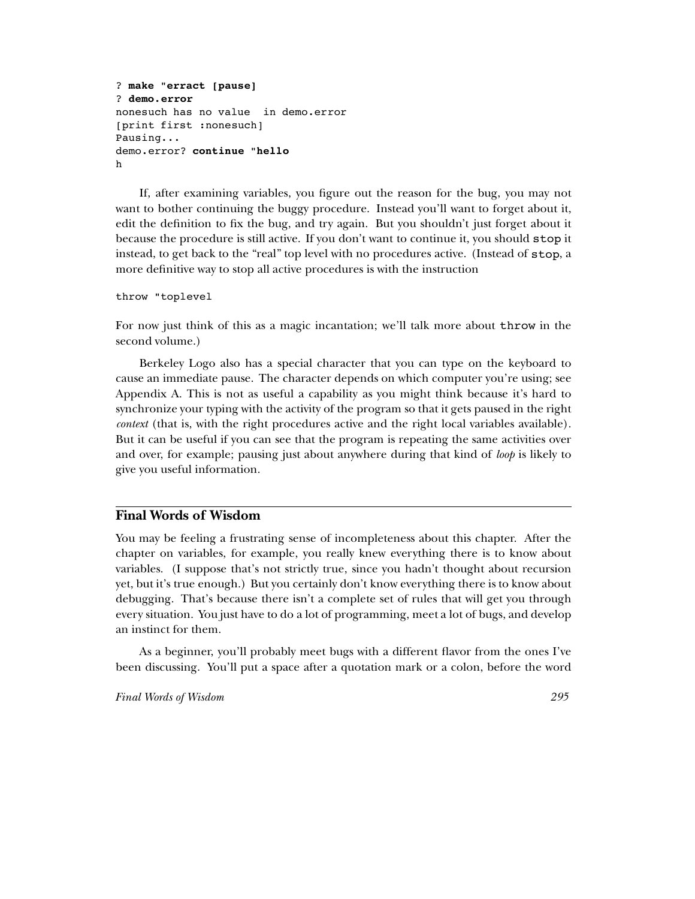```
make "erract [pause]
?
demo.error
?
continue "hello
demo.error?
nonesuch has no value in demo.error
[print first :nonesuch]
Pausing...
h
```
because the procedure is still active. If you don't want to continue it, you should  ${\tt stop}$  it instead, to get back to the "real" top level with no procedures active. (Instead of  $\mathop{\mathtt{stop}}\nolimits,$  a If, after examining variables, you figure out the reason for the bug, you may not want to bother continuing the buggy procedure. Instead you'll want to forget about it, edit the definition to fix the bug, and try again. But you shouldn't just forget about it more definitive way to stop all active procedures is with the instruction

```
throw "toplevel
```
For now just think of this as a magic incantation; we'll talk more about throw in the second volume.)

*context* (that is, with the right procedures active and the right local variables available). and over, for example; pausing just about anywhere during that kind of *loop* is likely to Berkeley Logo also has a special character that you can type on the keyboard to cause an immediate pause. The character depends on which computer you're using; see Appendix A. This is not as useful a capability as you might think because it's hard to synchronize your typing with the activity of the program so that it gets paused in the right But it can be useful if you can see that the program is repeating the same activities over give you useful information.

## **Final Words of Wisdom**

You may be feeling a frustrating sense of incompleteness about this chapter. After the chapter on variables, for example, you really knew everything there is to know about variables. (I suppose that's not strictly true, since you hadn't thought about recursion yet, but it's true enough.) But you certainly don't know everything there is to know about debugging. That's because there isn't a complete set of rules that will get you through every situation. You just have to do a lot of programming, meet a lot of bugs, and develop an instinct for them.

As a beginner, you'll probably meet bugs with a different flavor from the ones I've been discussing. You'll put a space after a quotation mark or a colon, before the word

*Final Words of Wisdom 295*